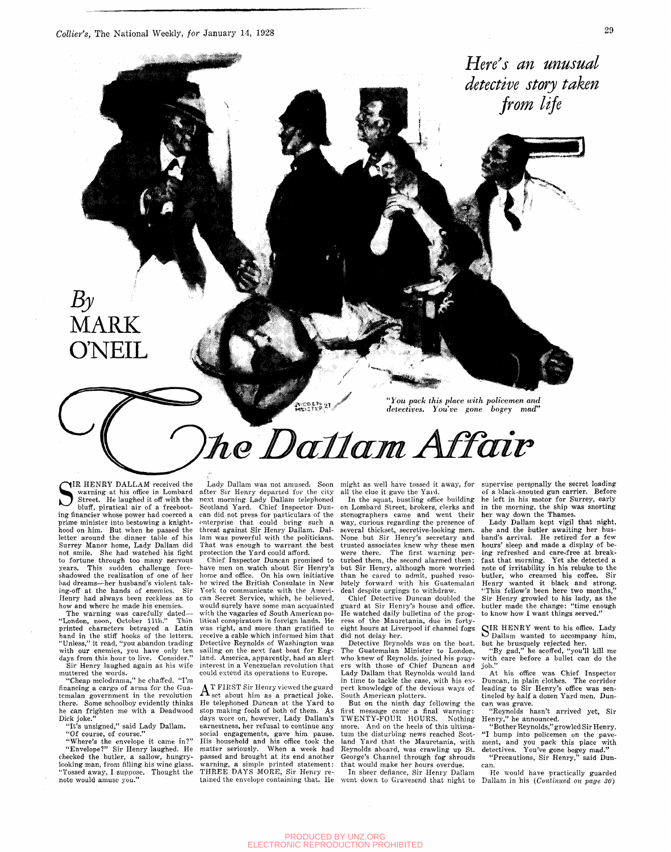*Collier's,* The National Weekly, *for* January 14, 1928 29

المنتقب <del>بسطان برنا أشك البرست</del>اني

*Here's an unusual detective story taken from life* 

### $B_{\mathcal{Y}}$ MARK **O'NEIL**

*"You pack this place with policemen and detectives. You've gone bogey mad"* 

# he Dallam Affair

**AISDEN 21** 

IR HENRY DALLAM received the warning at his office in Lombard<br>Street. He laughed it off with the bluff, piratical air of a freeboot-IR HENRY DALLAM received the warning at his office in Lombard Street. He laughed it off with the ing financier whose power had coerced a prime minister into bestowing a knighthood on him. But when he passed the letter around the dinner table of his Surrey Manor home, Lady Dallam did not smile. She had watched his fight to fortune through too many nervous years. This sudden challenge foreshadowed the realization of one of her bad dreams—her husband's violent taking-off at the hands of enemies. Sir Henry had always been reckless as to how and where he made his enemies.

The warning was carefully dated— "London, noon, October 11th." Thin printed characters betrayed a Latin hand in the stiff hooks of the letters. 'Unless," it read, "you abandon trading with our enemies, you have only ten days from this hour to live. Consider." Sir Henry laughed again as his wife muttered the words.

"Cheap melodrama," he chaffed. "I'm financing a cargo of arms for the Guatemalan government in the revolution there. Some schoolboy evidently thinks he can frighten me with a Deadwood Dick joke."

"It's unsigned," said Lady Dallam. "Of course, of course."

"Where's the envelope it came in?" "Envelope?" Sir Henry laughed. He checked the butler, a sallow, hungrylooking man, from filling his wine glass. "Tossed away, I suppose. Thought the note would amuse you."

Lady Dallam was not amused. Soon after Sir Henry departed for the city next morning Lady Dallam telephoned Scotland Yard. Chief Inspector Duncan did not press for particulars of the enterprise that could bring such threat against Sir Henry Dallam. Dallam was powerful with the politicians. That was enough to warrant the best protection the Yard could afford.

Chief Inspector Duncan promised to have men on watch about Sir Henry's home and office. On his own initiative he wired the British Consulate in New York to communicate with the American Secret Service, which, he believed, would surely have some man acquainted with the vagaries of South American political conspirators in foreign lands. He was right, and more than gratified to receive a cable which informed him that Detective Reynolds of Washington was sailing on the next fast boat for England. America, apparently, had an alert interest in a Venezuelan revolution that could extend its operations to Europe.

A T FIRST Sir Henry viewed the guard  $\mathbf{\Lambda}$  set about him as a practical joke. He telephoned Duncan at the Yard to stop making fools of both of them. As days wore on, however, Lady Dallam's earnestness, her refusal to continue any social engagements, gave him pause. His household and his office took the matter seriously. When a week had passed and brought at its end another .<br>warning, a simple printed statement: THREE DAYS MORE, Sir Henry retained the envelope containing that. He

might as well have tossed it away, for all the clue it gave the Yard.

In the squat, bustling office building on Lombard Street, brokers, clerks and stenographers came and went their way, curious regarding the presence of several thickset, secretive-looking men. None but Sir Henry's secretary and trusted associates knew why these men were there. The first warning perturbed them, the second alarmed them; but Sir Henry, although more worried than he cared to admit, pushed resolutely forward with his Guatemalan deal despite urgings to withdraw.

Chief Detective Duncan doubled the guard at Sir Henry's house and office. He watched daily bulletins of the progress of the Mauretania, due in fortyeight hours at Liverpool if channel fogs did not delay her.

Detective Reynolds was on the boat. The Guatemalan Minister to London, who knew of Reynolds, joined his prayers with those of Chief Duncan and Lady Dallam that Reynolds would land in time to tackle the case, with his expert knowledge of the devious ways of South American plotters.

But on the ninth day following the first message came a final warning: TWENTY-FOUR HOURS. Nothing more. And on the heels of this ultimatum the disturbing news reached Scotland Yard that the Mauretania, with Reynolds aboard, was crawling up St. George's Channel through fog shrouds that would make her hours overdue.

In sheer defiance, Sir Henry Dallam went down to Gravesend that night to

supervise personally the secret loading of a black-snouted gun carrier. Before he left in his motor for Surrey, early in the morning, the ship was snorting her way down the Thames.

Lady Dallam kept vigil that night, she and the butler awaiting her husband's arrival. He retired for a few hours' sleep and made a display of being refreshed and care-free at breakfast that morning. Yet she detected a note of irritability in his rebuke to the butler, who creamed his coffee. Sir Henry wanted it black and strong. 'This fellow's been here two months Sir Henry growled to his lady, as the butler made the change: "time enough to know how I want things served."

SIR HENRY went to his office. Lady Dallam wanted to accompany him, Dallam wanted to accompany him, but he brusquely rejected her.

"By gad," he scoffed, "you'll kill me with care before a bullet can do the iob.

At his office was Chief Inspector Duncan, in plain clothes. The corridor leading to Sir Henry's office was sentineled by half a dozen Yard men. Duncan was grave.

"Reynolds hasn't arrived yet, Sir Henry," he announced.

"Bother Reynolds," growled Sir Henry. "I bump into policemen on the pavement, and you pack this place with detectives. You've gone bogey mad." "Precautions, Sir Henry," said Dun-

can. He would have practically guarded Dallam in his *(Continued on page 30)*